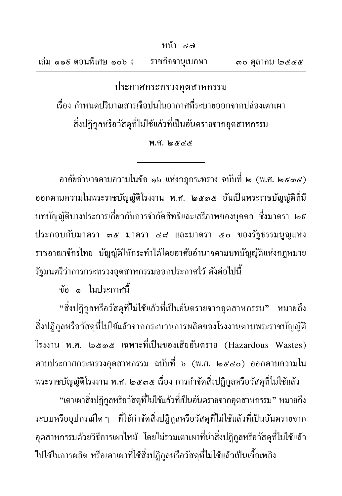|  |                         |  | หนา ๔๗          |                      |
|--|-------------------------|--|-----------------|----------------------|
|  | เล่ม ๑๑ธ ตอนพิเศษ ๑๐๖ ง |  | ราชกิจจานุเบกษา | $\infty$ ตุลาคม ๒๕๔๕ |

ประกาศกระทรวงอุตสาหกรรม เรื่อง กำหนดปริมาณสารเจือปนในอากาศที่ระบายออกจากปล่องเตาเผา สิ่งปฏิกูลหรือวัสดุที่ไม่ใช้แล้วที่เป็นอันตรายจากอุตสาหกรรม

## $W.H.$   $\omega$ &  $\alpha$ &

อาศัยอำนาจตามความในข้อ ๑๖ แห่งกฎกระทรวง ฉบับที่ ๒ (พ.ศ. ๒๕๓๕) ้ออกตามความในพระราชบัญญัติโรงงาน พ.ศ. ๒๕๓๕ อันเป็นพระราชบัญญัติที่มี บทบัญญัติบางประการเกี่ยวกับการจำกัดสิทธิและเสรีภาพของบุคคล ซึ่งมาตรา ๒៩ ประกอบกับมาตรา ๓๕ มาตรา ๔๘ และมาตรา ๕๐ ของรัฐธรรมนญแห่ง ราชอาณาจักรไทย บัญญัติให้กระทำได้โดยอาศัยอำนาจตามบทบัญญัติแห่งกฎหมาย รัฐมนตรีว่าการกระทรวงอุตสาหกรรมออกประกาศไว้ ดังต่อไปนี้

ข้อ ๑ ในประกาศนี้

"สิ่งปฏิกูลหรือวัสดุที่ไม่ใช้แล้วที่เป็นอันตรายจากอุตสาหกรรม" หมายถึง สิ่งปฏิกูลหรือวัสดุที่ไม่ใช้แล้วจากกระบวนการผลิตของโรงงานตามพระราชบัญญัติ โรงงาน พ.ศ. ๒๕๓๕ เฉพาะที่เป็นของเสียอันตราย (Hazardous Wastes) ตามประกาศกระทรวงอุตสาหกรรม ฉบับที่ ๖ (พ.ศ. ๒๕๔๐) ออกตามความใน

พระราชบัญญัติโรงงาน พ.ศ. ๒๕๓๕ เรื่อง การกำจัดสิ่งปฏิกูลหรือวัสดุที่ไม่ใช้แล้ว "เตาเผาสิ่งปฏิกูลหรือวัสดุที่ไม่ใช้แล้วที่เป็นอันตรายจากอุตสาหกรรม" หมายถึง ระบบหรืออุปกรณ์ใดๆ ที่ใช้กำจัดสิ่งปฏิกูลหรือวัสดุที่ไม่ใช้แล้วที่เป็นอันตรายจาก อุตสาหกรรมด้วยวิธีการเผาใหม้ โดยไม่รวมเตาเผาที่นำสิ่งปฏิกูลหรือวัสดุที่ไม่ใช้แล้ว ไปใช้ในการผลิต หรือเตาเผาที่ใช้สิ่งปฏิกูลหรือวัสดุที่ไม่ใช้แล้วเป็นเชื้อเพลิง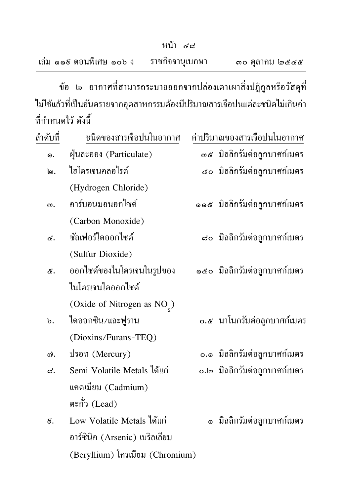|                         | หน้า ๔๘         |                |
|-------------------------|-----------------|----------------|
| เล่ม ๑๑៩ ตอนพิเศษ ๑๐๖ ง | ราชกิจจานุเบกษา | ดo ตุลาคม ๒๕๔๕ |

ข้อ ๒ อากาศที่สามารถระบายออกจากปล่องเตาเผาสิ่งปฏิกูลหรือวัสดุที่ ใม่ใช้แล้วที่เป็นอันตรายจากอุตสาหกรรมต้องมีปริมาณสารเจือปนแต่ละชนิดไม่เกินค่า ที่กำหนดไว้ ดังนี้

| ถำดับที่      | ชนิดของสารเจือปนในอากาศ                 |    | ค่าปริมาณของสารเจือปนในอากาศ       |
|---------------|-----------------------------------------|----|------------------------------------|
| G.            | ฝุ่นละออง (Particulate)                 |    | <i>๑๕</i> มิลลิกรัมต่อลูกบาศก์เมตร |
| ๒.            | ไฮโดรเจนคลอไรด์                         |    | ๔๐ มิลลิกรัมต่อลูกบาศก์เมตร        |
|               | (Hydrogen Chloride)                     |    |                                    |
| ഩ.            | คาร์บอนมอนอกใซด์                        |    | ๑๑๕ มิลลิกรัมต่อลูกบาศก์เมตร       |
|               | (Carbon Monoxide)                       |    |                                    |
| ๔.            | ซัลเฟอร์ไดออกไซด์                       |    | ๘๐ มิลลิกรัมต่อลูกบาศก์เมตร        |
|               | (Sulfur Dioxide)                        |    |                                    |
| ଝ.            | ออกไซด์ของในโตรเจนในรูปของ              |    | ๑๕๐ มิลลิกรัมต่อลูกบาศก์เมตร       |
|               | ในโตรเจนไดออกไซด์                       |    |                                    |
|               | (Oxide of Nitrogen as NO <sub>2</sub> ) |    |                                    |
| $\mathbf b$ . | ใดออกซิน/และฟูราน                       |    | ๐.๕ นาโนกรัมต่อถูกบาศก์เมตร        |
|               | (Dioxins/Furans-TEQ)                    |    |                                    |
| ග).           | ปรอท (Mercury)                          |    | o.๑ มิลลิกรัมต่อลูกบาศก์เมตร       |
| ದ.            | Semi Volatile Metals ได้แก่             |    | o.๒ มิลลิกรัมต่อลูกบาศก์เมตร       |
|               | แคดเมียม (Cadmium)                      |    |                                    |
|               | ตะกั่ว $($ Lead $)$                     |    |                                    |
| ೯.            | Low Volatile Metals ได้แก่              | G) | มิลลิกรัมต่อลูกบาศก์เมตร           |
|               | อาร์ซินิค (Arsenic) เบริลเลียม          |    |                                    |
|               | (Beryllium) โครเมียม (Chromium)         |    |                                    |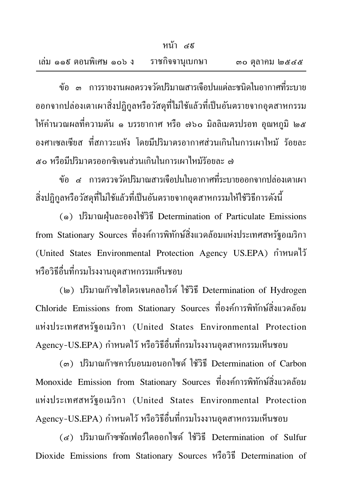|                         | หน้า ๔ธ         |                |
|-------------------------|-----------------|----------------|
| เถ่ม ๑๑๕ ตอนพิเศษ ๑๐๖ ง | ราชกิจจานุเบกษา | ดo ตุลาคม ๒๕๔๕ |

้ข้อ ๓ การรายงานผลตรวจวัดปริมาณสารเจือปนแต่ละชนิดในอากาศที่ระบาย ออกจากปล่องเตาเผาสิ่งปฏิกูลหรือวัสดุที่ไม่ใช้แล้วที่เป็นอันตรายจากอุตสาหกรรม ให้คำนวณผลที่ความดัน ๑ บรรยากาศ หรือ ๗๖๐ มิลลิเมตรปรอท อุณหภูมิ ๒๕ ้องศาเซลเซียส ที่สภาวะแห้ง โดยมีปริมาตรอากาศส่วนเกินในการเผาใหม้ ร้อยละ ๕๐ หรือมีปริมาตรออกซิเจนส่วนเกินในการเผาใหม้ร้อยละ ๗

ข้อ ๔ การตรวจวัดปริมาณสารเจือปนในอากาศที่ระบายออกจากปล่องเตาเผา สิ่งปฏิกูลหรือวัสดุที่ไม่ใช้แล้วที่เป็นอันตรายจากอุตสาหกรรมให้ใช้วิธีการดังนี้

(๑) ปริมาณฝุ่นละอองใช้วิธี Determination of Particulate Emissions from Stationary Sources ที่องค์การพิทักษ์สิ่งแวดล้อมแห่งประเทศสหรัฐอเมริกา (United States Environmental Protection Agency US.EPA) กำหนดไว้ หรือวิธีอื่นที่กรมโรงงานอุตสาหกรรมเห็นชอบ

(๒) ปริมาณก๊าซไฮโดรเจนคลอไรด์ ใช้วิธี Determination of Hydrogen Chloride Emissions from Stationary Sources ที่องค์การพิทักษ์สิ่งแวดล้อม แห่งประเทศสหรัฐอเมริกา (United States Environmental Protection Agency-US.EPA) กำหนดไว้ หรือวิธีอื่นที่กรมโรงงานอุตสาหกรรมเห็นชอบ

(๓) ปริมาณก๊าซคาร์บอนมอนอกใซด์ ใช้วิธี Determination of Carbon Monoxide Emission from Stationary Sources ที่องค์การพิทักษ์สิ่งแวดล้อม แห่งประเทศสหรัฐอเมริกา (United States Environmental Protection Agency-US.EPA) กำหนดไว้ หรือวิธีอื่นที่กรมโรงงานอุตสาหกรรมเห็นชอบ

(๔) ปริมาณก๊าซซัลเฟอร์ไดออกไซด์ ใช้วิธี Determination of Sulfur Dioxide Emissions from Stationary Sources หรือวิธี Determination of